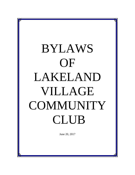# BYLAWS OF LAKELAND VILLAGE **COMMUNITY** CLUB

June 20, 2017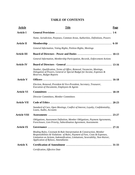## **TABLE OF CONTENTS**

| <b>Article</b>      | <b>Title</b>                                                                                                                                                                                                                                                              | Page  |
|---------------------|---------------------------------------------------------------------------------------------------------------------------------------------------------------------------------------------------------------------------------------------------------------------------|-------|
| <b>Article I</b>    |                                                                                                                                                                                                                                                                           |       |
|                     | Name, Jurisdiction, Purposes, Common Areas, Authorities, Definitions, Powers                                                                                                                                                                                              |       |
| <b>Article II</b>   |                                                                                                                                                                                                                                                                           |       |
|                     | General Information, Voting Rights, Petition Rights, Meetings                                                                                                                                                                                                             |       |
| <b>Article III</b>  |                                                                                                                                                                                                                                                                           |       |
|                     | General Information, Membership Participation, Records, Enforcement Actions                                                                                                                                                                                               |       |
| <b>Article IV</b>   |                                                                                                                                                                                                                                                                           |       |
|                     | Number, Qualification, Terms of Office, Removal, Vacancies, Meetings,<br>Delegation of Powers, General or Special Budget for Income, Expenses &<br>Reserves, Budget Reports                                                                                               |       |
| <b>Article V</b>    |                                                                                                                                                                                                                                                                           |       |
|                     | Election, Removal, President & Vice-President, Secretary, Treasurer,<br>Execution of Documents, Employees & Agents                                                                                                                                                        |       |
| <b>Article VI</b>   |                                                                                                                                                                                                                                                                           |       |
|                     | <b>Director Committees, Member Committees</b>                                                                                                                                                                                                                             |       |
| <b>Article VII</b>  |                                                                                                                                                                                                                                                                           |       |
|                     | Standard of Care, Open Meetings, Conflict of Interest, Loyalty, Confidentiality,<br>Loans, Audits, Accounts                                                                                                                                                               |       |
| <b>Article VIII</b> |                                                                                                                                                                                                                                                                           | 23-27 |
|                     | Obligations, Assessment Definition, Member Obligations, Payment Agreements,<br>Foreclosure, Lien Priority, Subordination Agreement, Assessments                                                                                                                           |       |
| <b>Article IX</b>   |                                                                                                                                                                                                                                                                           | 27-31 |
|                     | Binding Rules, Covenant & Rule Interpretation & Construction, Member<br>Responsibilities & Violations of Rules, Payment of Fees, Costs & Expenses,<br>Limitation on Actions, Indemnification, Limitations, Severability, Non-Waiver,<br>Application of Bylaws, Amendments |       |
| <b>Article X</b>    |                                                                                                                                                                                                                                                                           |       |
|                     | Certification, Effective Date                                                                                                                                                                                                                                             |       |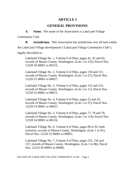## **ARTICLE I**

## **GENERAL PROVISIONS**

**A. Name.** The name of the Association is LakeLand Village

Community Club.

**B. Jurisdiction.** This Association has jurisdiction over all land within

the LakeLand Village development ("LakeLand Village Community Club"),

legally described as:

Lakeland Village No. 1, Volume 6 of Plats, pages 41, 42 and 43, records of Mason County, Washington. (Lots 1 to 152); Parcel Nos. 12220 50 00001 to 00152;

Lakeland Village No. 2, Volume 6 of Plats, pages 150 and 151, records of Mason County, Washington. (Lots 1 to 27); Parcel Nos. 12220 51 00001 to 00027;

Lakeland Village No. 3, Volume 6 of Plats, pages 152 and 153, records of Mason County, Washington. (Lots 1 to 11); Parcel Nos. 12220 52 00001 to 00011;

Lakeland Village No. 4, Volume 8 of Plats, pages 23 and 24, records of Mason County, Washington. (Lots 1 to 37); Parcel Nos. 12220 53 00001 to 00037;

Lakeland Village No. 5, Volume 8 of Plats, pages 77, 78 and 79, records of Mason County, Washington. (Lots 1 to 116); Parcel Nos. 12220 54 00001 to 00116;

Lakeland Village No. 6, Volume 8 of Plats, pages 89 to 92, both inclusive, records of Mason County, Washington. (Lots 1 to 91); Parcel Nos. 12220 55 00001 to 00091;

Lakeland Village No. 7, Volume 9 of Plats, pages 155, 156 and 157, records of Mason County, Washington. (Lots 1 to 86); Parcel Nos. 12219 50 00001 to 00086;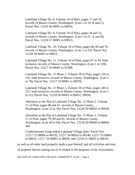Lakeland Village No. 8, Volume 10 of Plats, pages 17 and 18, records of Mason County, Washington. (Lots 1 to 14, B and C); Parcel Nos. 12220 56 00001 to 00016;

Lakeland Village No. 9, Volume 10 of Plats, pages 34 and 35, records of Mason County, Washington. (Lots 1 to 21, A and B); Parcel Nos. 12220 57 00001 to 00023;

Lakeland Village No. 10, Volume 10 of Plats, pages 68, 69 and 70, records of Mason County, Washington. (Lots 1 to 23); Parcel Nos. 12220 58 00001 to 00023;

Lakeland Village No. 11, Volume 10 of Plats, pages 87 to 93, both inclusive, records of Mason County, Washington. (Lots 1 to 139); Parcel Nos. 12217 50 00001 to 91398;

Lakeland Village No. 12 Phase 1, Volume 10 of Plats, pages 156 to 162, both inclusive, records of Mason County, Washington. (Lots 1 to 78); Parcel Nos. 12217 53 00001 to 00078;

Lakeland Village No. 12 Phase 2, Volume 10 of Plats, pages 246 to 251, both inclusive, records of Mason County, Washington. (Lots 1 to 51); Parcel Nos. 12218 50 00001 to 00051, 00934;

Alteration to the Plat of Lakeland Village No. 12 Phase 2, Volume 11 of Plats, pages 46 and 47, records of Mason County, Washington. (Lots 52 to 59); Parcel Nos. 12218 50 00052 to 00059;

Alteration to the Plat of Lakeland Village No. 12 Phase 2, Volume 11 of Plats, pages 79, 80 and 81, records of Mason County, Washington. (Lots 60 to 64); Parcel Nos. 12218 50 00060 to 00064; and

Condominiums lying within Lakeland Village plats: Parcel Nos. 12217 52 00000 to 00120, 12217 54 00010 to 00140, 12217 55 00001 to 00016, 12217 56 00001 to 00039, and 12218 51 00001 to 00016;

as well as all other land properly made a part thereof, and all activities and uses

of property therein arising out of or related to the purposes of the Association.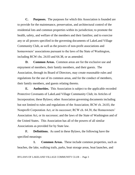**C. Purposes.** The purposes for which this Association is founded are to provide for the maintenance, preservation, and architectural control of the residential lots and common properties within its jurisdiction; to promote the health, safety, and welfare of the members and their families; and to exercise any or all powers specified in the governing documents of LakeLand Village Community Club, as well as the powers of non-profit associations and homeowners' associations pursuant to the laws of the State of Washington, including RCW chs. 24.03 and 64.38, or as amended.

**D. Common Areas.** Common areas are for the exclusive use and enjoyment of members, their family members, and their guests. The Association, through its Board of Directors, may create reasonable rules and regulations for the use of its common areas, and for the conduct of members, their family members, and guests relating thereto.

**E. Authorities.** This Association is subject to the applicable recorded Protective Covenants of LakeLand Village Community Club; its Articles of Incorporation; these Bylaws; other Association governing documents including but not limited to rules and regulations of the Association; RCW ch. 24.03, the Nonprofit Corporation Act, or its successor; RCW ch. 64.38, the Homeowners' Association Act, or its successor; and the laws of the State of Washington and of the United States. This Association has all of the powers of all similar Associations as provided for by State law.

**F. Definitions.** As used in these Bylaws, the following have the specified meanings:

**1.** Common Areas. These include common properties, such as beaches, the lake, walking trails, parks, boat storage areas, boat launches, and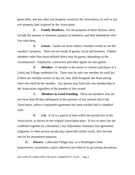green belts, and any other real property owned by the Association, as well as any real property later acquired by the Association.

**2. Family Members.** For the purposes of these Bylaws, these include the spouses or domestic partners of members, and their dependents who live with them.

**3. Guests.** Guests are those whom a member invites to use the member's property. There are two kinds of guests, social and business. Family members other than those defined above may be guests, depending on the circumstances. Employees, contractors and other agents are also guests.

**4. Member.** A member is the owner or contract purchaser of a LakeLand Village residential lot. There may be only one member for each lot; if there are multiple owners of any lot, they shall designate one from among them who shall be the member. Any person may hold only one membership in the Association regardless of the number of lots owned.

**5. Members in Good Standing.** These are members who are not more than 90 days delinquent in the payment of any amount due to the Association, unless a repayment agreement has been reached and is complied with.

**6. Lot.** A lot is a parcel of land within the jurisdiction of the Association, as shown on the original Association plats. If two or more lots are combined together by a Boundary Line Adjustment, boundary line agreement, judgment, or other process producing a generally similar result, they become one lot for assessment purposes.

**G. Powers.** LakeLand Village may, as a Washington State homeowners' association, unless otherwise provided in its governing documents: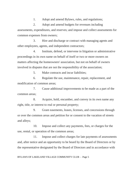1. Adopt and amend Bylaws, rules, and regulations;

2. Adopt and amend budgets for revenues including assessments, expenditures, and reserves; and impose and collect assessments for common expenses from owners;

3. Hire and discharge or contract with managing agents and other employees, agents, and independent contractors;

4. Institute, defend, or intervene in litigation or administrative proceedings in its own name on behalf of itself or two or more owners on matters affecting the homeowners' association, but not on behalf of owners involved in disputes that are not the responsibility of the association;

5. Make contracts and incur liabilities;

6. Regulate the use, maintenance, repair, replacement, and modification of common areas;

7. Cause additional improvements to be made as a part of the common areas;

8. Acquire, hold, encumber, and convey in its own name any right, title, or interest to real or personal property;

9. Grant easements, leases, licenses, and concessions through or over the common areas and petition for or consent to the vacation of streets and alleys;

10. Impose and collect any payments, fees, or charges for the use, rental, or operation of the common areas;

11. Impose and collect charges for late payments of assessments and, after notice and an opportunity to be heard by the Board of Directors or by the representative designated by the Board of Directors and in accordance with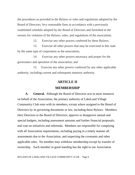the procedures as provided in the Bylaws or rules and regulations adopted by the Board of Directors, levy reasonable fines in accordance with a previously established schedule adopted by the Board of Directors and furnished to the owners for violation of the Bylaws, rules, and regulations of the association;

12. Exercise any other powers conferred by these Bylaws;

13. Exercise all other powers that may be exercised in this state by the same type of corporation as the association;

14. Exercise any other powers necessary and proper for the governance and operation of the association; and

15. Exercise any other powers conferred by any other applicable authority, including current and subsequent statutory authority.

### **ARTICLE II**

#### **MEMBERSHIP**

**A. General.** Although the Board of Directors acts in most instances on behalf of the Association, the primary authority of LakeLand Village Community Club rests with its members, except where assigned to the Board of Directors by its governing documents or law, including these Bylaws. Members elect Directors to the Board of Directors; approve or disapprove annual and special budgets, including assessment amounts and further financial proposals; and vote on initiatives and referenda. Members are responsible for complying with all Association requirements, including paying in a timely manner all assessments due to the Association, and respecting the covenants and other applicable rules. No member may withdraw membership except by transfer of ownership. Each member in good standing has the right to use Association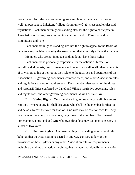property and facilities, and to permit guests and family members to do so as well; all pursuant to LakeLand Village Community Club's reasonable rules and regulations. Each member in good standing also has the right to participate in Association activities, serve on the Association Board of Directors and its committees, and vote.

Each member in good standing also has the right to appeal to the Board of Directors any decision made by the Association that adversely affects the member.

Members who are not in good standing do not have these rights.

Each member is personally responsible for the actions of himself or herself, and all guests, family members and tenants, as well as all other occupants of or visitors to his or her lot, as they relate to the facilities and operations of the Association, its governing documents, common areas, and other Association rules and regulations and other requirements. Each member also has all of the rights and responsibilities conferred by LakeLand Village restrictive covenants, rules and regulations, and other governing documents, as well as state law.

**B. Voting Rights.** Only members in good standing are eligible voters. Multiple owners of any lot shall designate who shall be the member for that lot and be able to cast the vote for that lot. One vote may be cast for each lot. Any one member may only cast one vote, regardless of the number of lots owned. For example, a husband and wife who own three lots may cast one vote each, or a total of two votes.

**C. Petition Rights.** Any member in good standing who in good faith believes that the Association has acted in any way contrary to law or the provisions of these Bylaws or any other Association rules or requirements, including by taking any action involving that member individually, or any action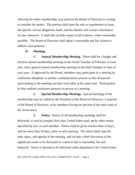affecting the entire membership, may petition the Board of Directors in writing to consider the matter. The petition shall state the rule or requirement at issue, the specific factual allegations made, and the identity and contact information for any witnesses. It shall also include copies of all evidence, where reasonably possible. The Board of Directors shall adopt a reasonable and fair system to address such petitions.

### **D. Meetings.**

**1. Annual Membership Meeting.** There shall be a budget and election annual membership meeting on the fourth Tuesday of February of each year, and a general annual membership meeting on the third Tuesday in June of each year. If approved by the Board, members may participate in a meeting by conference telephone or similar communications process so that all persons participating in the meeting can hear each other at the same time. Participation by that method constitutes presence in person at a meeting.

**2. Special Membership Meetings.** Special meetings of the membership may be called by the President of the Board of Directors, a majority of the Board of Directors, or by members having ten percent of the total votes of the Association.

**3. Notice.** Notice of all membership meetings shall be delivered, or sent by prepaid, first class United States mail, **or** by other means specified by law, to each member. Notice shall be given not less than 14 days, and not more than 50 days, prior to each meeting. The notice shall state the time, place, and agenda of the meeting, and include a brief discussion of the significant issues to be discussed or voted on that is reasonably fair and balanced. Notice is deemed to be delivered when deposited in the United States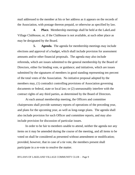mail addressed to the member at his or her address as it appears on the records of the Association, with postage thereon prepaid, or otherwise as specified by law.

**4. Place.** Membership meetings shall be held at the LakeLand Village Clubhouse, or, if the Clubhouse is not available, at such other place as may be designated by the Board.

**5. Agenda.** The agenda for membership meetings may include elections and approval of a budget, which shall include provision for assessment amounts and/or other financial proposals. The agenda may also include referenda, which are issues submitted to the general membership by the Board of Directors, either for binding vote, or guidance; and initiatives, which are issues submitted by the signatures of members in good standing representing ten percent of the total votes of the Association. No initiative proposal adopted by the members may, (1) contradict controlling provisions of Association governing documents or federal, state or local law; or (2) unreasonably interfere with the contract rights of any third parties, as determined by the Board of Directors.

At each annual membership meeting, the Officers and committee chairpersons shall provide summary reports of operations of the preceding year, and plans for the upcoming year, as well as long-range plans. The agenda shall also include provision for such Officer and committee reports, and may also include provision for discussion of particular issues.

In order to be fair to members unable to attend, neither the agenda nor any items on it may be amended during the course of the meeting, and all items to be voted on shall be considered as presented without amendment or modification; provided, however, that in case of a tie vote, the members present shall participate in a re-vote to resolve the matter.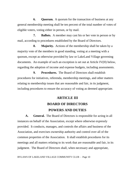**6. Quorum.** A quorum for the transaction of business at any general membership meeting shall be ten percent of the total number of votes of eligible voters, voting either in person, or by mail.

**7. Ballots.** A member may cast his or her vote in person or by mail, according to procedures established by the Board of Directors.

**8. Majority.** Actions of the membership shall be taken by a majority vote of the members in good standing, voting at a meeting with a quorum, except as otherwise provided by law or LakeLand Village governing documents. An example of such an exception is set out at Article IV(H) below, regarding the adoption of income and expense budgets, including assessments.

**9. Procedures.** The Board of Directors shall establish procedures for initiatives, referenda, membership meetings, and other matters relating to membership issues that are reasonable and fair, in its judgment, including procedures to ensure the accuracy of voting as deemed appropriate.

# **ARTICLE III BOARD OF DIRECTORS POWERS AND DUTIES**

**A. General.** The Board of Directors is responsible for acting in all instances on behalf of the Association, except where otherwise expressly provided. It conducts, manages, and controls the affairs and business of the Association, and exercises ownership authority and control over all of the common properties of the Association. It shall establish procedures for its meetings and all matters relating to its work that are reasonable and fair, in its judgment. The Board of Directors shall, when necessary and appropriate,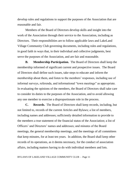develop rules and regulations to support the purposes of the Association that are reasonable and fair.

Members of the Board of Directors develop skills and insight into the work of the Association through their service to the Association, including as Directors. Their responsibilities are to follow applicable laws and LakeLand Village Community Club governing documents, including rules and regulations, in good faith in ways that, in their individual and collective judgments, best serve the purposes of the Association, and are fair and reasonable.

**B. Membership Participation.** The Board of Directors shall keep the membership informed of significant current and prospective issues. The Board of Directors shall define such issues, take steps to educate and inform the membership about them, and listen to the members' responses, including use of informal surveys, referenda, and informational "town meetings" as appropriate. In evaluating the opinions of the members, the Board of Directors shall take care to consider its duties to the purposes of the Association, and to avoid allowing any one member to exercise a disproportionate role in the process.

**C. Records.** The Board of Directors shall keep records, including, but not limited to, records of the current Articles and Bylaws; a list of members, including names and addresses; sufficiently detailed information to provide to the members a true statement of the financial status of the Association; a list of Officers' and Directors' names and addresses; and minutes of the Board meetings, the general membership meetings, and the meetings of all committees that keep minutes, for at least ten years. In addition, the Board shall keep other records of its operations, as it deems necessary, for the conduct of association affairs, including matters having to do with individual members and lots.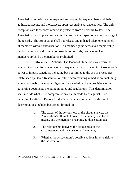Association records may be inspected and copied by any members and their authorized agents, and mortgagees, upon reasonable advance notice. The only exceptions are for records otherwise protected from disclosure by law. The Association may impose reasonable charges for the inspection and/or copying of the records. The Association shall not release any unlisted telephone numbers of members without authorization. If a member gains access to a membership list by inspection and copying of association records, use or sale of such membership list by the member is prohibited.

**D. Enforcement Actions.** The Board of Directors may determine whether to take enforcement action in any matter by exercising the Association's power to impose sanctions, including but not limited to the use of procedures established by Board Resolution or rule; or commencing remediation, including where reasonably necessary litigation; for a violation of the provisions of its governing documents including its rules and regulations. This determination shall include whether to compromise any claim made by or against it, or regarding its affairs. Factors for the Board to consider when making such determinations include, but are not limited to:

- 1. The extent of the seriousness of the circumstances, the Association's attempts to resolve matters by less formal means, and the member's response to those attempts;
- 2. The relationship between the seriousness of the circumstances and the costs of enforcement;
- 3. Whether the Association's possible actions involve risk to the Association;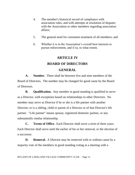- 4. The member's historical record of compliance with association rules, and with attempts at resolution of disputes with the Association or other members regarding association affairs;
- 5. The general need for consistent treatment of all members; and
- 6. Whether it is in the Association's overall best interests to pursue enforcement, and if so, to what extent.

## **ARTICLE IV**

## **BOARD OF DIRECTORS**

## **GENERAL**

**A. Number.** There shall be between five and nine members of the Board of Directors. The number may be changed for good cause by the Board of Directors.

**B. Qualification.** Any member in good standing is qualified to serve as a Director, with exceptions based on relationships to other Directors. No member may serve as Director if he or she is a life partner with another Director; or is a sibling, child or parent of a Director or of that Director's life partner. "Life partner" means spouse, registered domestic partner, or any substantially similar relationship.

**C. Terms of Office.** Each Director shall serve a term of three years. Each Director shall serve until the earlier of his or her removal, or the election of a successor.

**D. Removal.** A Director may be removed with or without cause by a majority vote of the members in good standing voting at a meeting with a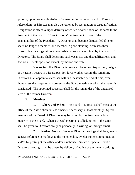quorum, upon proper submission of a member initiative or Board of Directors referendum. A Director may also be removed by resignation or disqualification. Resignation is effective upon delivery of written or oral notice of the same to the President of the Board of Directors, or Vice-President in case of the unavailability of the President. A Director shall become disqualified if he or she is no longer a member, or a member in good standing; or misses three consecutive meetings without reasonable cause, as determined by the Board of Directors. The Board shall determine such vacancies and disqualifications, and declare a Director position vacant, by motion and vote.

**E. Vacancies.** If a Director is removed, becomes disqualified, resigns, or a vacancy occurs in a Board position for any other reason, the remaining Directors shall appoint a successor within a reasonable period of time, even though less than a quorum is present at the Board meeting at which the matter is considered. The appointed successor shall fill the remainder of the unexpired term of the former Director**.** 

#### **F. Meetings.**

**1. Where and When.** The Board of Directors shall meet at the office of the Association, unless otherwise necessary, at least monthly. Special meetings of the Board of Directors may be called by the President or by a majority of the Board. When a special meeting is called, notice of the same shall be given to Directors orally or personally in writing, or through email.

**2. Notice.** Notice of regular Director meetings shall be given by general reference in mailings to the membership, by electronic communication, and/or by posting at the office and/or clubhouse. Notice of special Board of Directors meetings shall be given, by delivery of notice of the same in writing,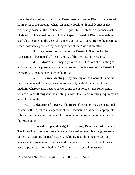signed by the President or initiating Board members, to the Directors at least 24 hours prior to the meeting, when reasonably possible. If such Notice is not reasonably possible, then Notice shall be given to Directors in a manner most likely to provide actual notice. Notice of special Board of Directors meetings shall also be given to the general members at least 24 hours prior to the meeting, when reasonably possible, by posting notice at the Association office.

**3. Quorum.** A quorum of the Board of Directors for the transaction of business shall be a majority of the then sitting Directors.

**4. Majority.** A majority vote of the Directors at a meeting at which a quorum is present is sufficient to transact the business of the Board of Directors. Directors may not vote by proxy.

**5. Distance Meeting.** Any meeting of the Board of Directors may be conducted by telephone conference call, or similar communications medium, whereby all Directors participating are in voice or electronic contact with each other throughout the meeting, subject to all other meeting requirements as set forth herein.

**G. Delegation of Powers.** The Board of Directors may delegate such powers with respect to management of the Association as it deems appropriate, subject to state law and the governing documents and rules and regulations of the Association.

**H. General or Special Budget for Income, Expenses and Reserves.** The following formula or procedure shall be used to determine the governance of the Association's financial matters, including regarding income such as assessments, payment of expenses, and reserves. The Board of Directors shall adopt a proposed annual budget for (1) annual and special assessments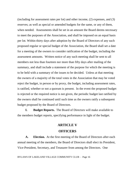(including for assessment rates per lot) and other income, (2) expenses, and (3) reserves; as well as special or amended budgets for the same, or any of them, when needed. Assessments shall be set in an amount the Board deems necessary to meet the purposes of the Association, and shall be imposed on an equal basis per lot. Within thirty days after adoption by the Board of Directors of any such proposed regular or special budget of the Association, the Board shall set a date for a meeting of the owners to consider ratification of the budget, including the assessment amounts. Written notice of any such meeting shall be sent to all members not less than fourteen nor more than fifty days after mailing of the summary, and shall include a statement of the purpose for which the meeting is to be held with a summary of the issues to be decided. Unless at that meeting the owners of a majority of the total votes in the Association that may be voted reject the budget, in person or by proxy, the budget, including assessment rates, is ratified, whether or not a quorum is present. In the event the proposed budget is rejected or the required notice is not given, the periodic budget last ratified by the owners shall be continued until such time as the owners ratify a subsequent budget proposed by the Board of Directors.

**I. Budget Reports.** The Board of Directors will make available to the members budget reports, specifying performance in light of the budget.

# **ARTICLE V**

## **OFFICERS**

**A. Election.** At the first meeting of the Board of Directors after each annual meeting of the members, the Board of Directors shall elect its President, Vice-President, Secretary, and Treasurer from among the Directors. One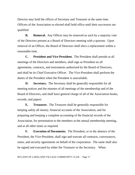Director may hold the offices of Secretary and Treasurer at the same time. Officers of the Association so elected shall hold office until their successors are qualified.

**B. Removal.** Any Officer may be removed as such by a majority vote of the Directors present at a Board of Directors meeting with a quorum. Upon removal of an Officer, the Board of Directors shall elect a replacement within a reasonable time.

**C. President and Vice-President.** The President shall preside at all meetings of the Directors and members, shall sign as President on all agreements, contracts, and instruments authorized by the Board of Directors, and shall be its Chief Executive Officer. The Vice-President shall perform the duties of the President when the President is unavailable.

**D. Secretary.** The Secretary shall be generally responsible for all meeting notices and the minutes of all meetings of the membership and of the Board of Directors, and shall have general charge of all of the Association books, records, and papers.

**E. Treasurer.** The Treasurer shall be generally responsible for keeping safely all money, financial accounts of the Association, and for preparing and keeping a complete accounting of the financial records of the Association, for presentation to the members at the annual membership meeting, and at all other times as required.

**F. Execution of Documents.** The President, or in the absence of the President, the Vice-President, shall sign and execute all contracts, conveyances, notes, and security agreements on behalf of the corporation. The same shall also be signed and executed by either the Treasurer or the Secretary. When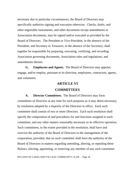necessary due to particular circumstances, the Board of Directors may specifically authorize signing and execution otherwise. Checks, drafts, and other negotiable instruments, and other documents except amendments to Association documents, may be signed and/or executed as provided by the Board of Directors. The President or Vice-President, in the absence of the President; and Secretary or Treasurer, in the absence of the Secretary; shall together be responsible for preparing, executing, certifying, and recording Association governing documents, Association rules and regulations, and amendments thereto.

**G. Employees and Agents.** The Board of Directors may appoint, engage, and/or employ, pursuant to its direction, employees, contractors, agents, and volunteers.

## **ARTICLE VI**

#### **COMMITTEES**

**A. Director Committees.** The Board of Directors may form committees of Directors at any time for such purposes as it may deem necessary, by resolution adopted by a majority of the Directors in office. Each such committee shall consist of two or more Directors. Each such resolution shall specify the composition of and procedures for and functions assigned to each committee, and any other matters reasonably necessary to its effective operation. Such committees, to the extent provided in the resolution, shall have and exercise the authority of the Board of Directors in the management of the corporation; provided, that no such committee shall have the authority of the Board of Directors in matters regarding amending, altering, or repealing these Bylaws; electing, appointing, or removing any member of any such committee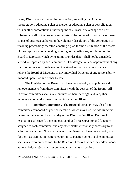or any Director or Officer of the corporation; amending the Articles of Incorporation; adopting a plan of merger or adopting a plan of consolidation with another corporation; authorizing the sale, lease, or exchange of all or substantially all of the property and assets of the corporation not in the ordinary course of business; authorizing the voluntary dissolution of the corporation or revoking proceedings therefor; adopting a plan for the distribution of the assets of the corporation; or amending, altering, or repealing any resolution of the Board of Directors which by its terms provides that it shall not be amended, altered, or repealed by such committee. The designation and appointment of any such committee and the delegation thereto of authority shall not operate to relieve the Board of Directors, or any individual Director, of any responsibility imposed upon it or him or her by law.

The President of the Board shall have the authority to appoint to and remove members from these committees, with the consent of the Board. All Director committees shall make minutes of their meetings, and keep their minutes and other documents in the Association offices.

**B. Member Committees.** The Board of Directors may also form committees composed of general members, which may also include Directors, by resolution adopted by a majority of the Directors in office. Each such resolution shall specify the composition of and procedures for and functions assigned to each committee, and any other matters reasonably necessary to its effective operation. No such member committee shall have the authority to act for the Association. In matters requiring Association action, such committees shall make recommendations to the Board of Directors, which may adopt, adopt as amended, or reject such recommendations, at its discretion.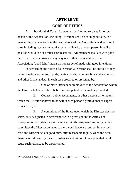# **ARTICLE VII CODE OF ETHICS**

**A. Standard of Care.** All persons performing services for or on behalf of the Association, including Directors, shall do so in good faith, in a manner they believe to be in the best interest of the Association, and with such care, including reasonable inquiry, as an ordinarily prudent person in a like position would use in similar circumstances. All members shall act with good faith in all matters arising in any way out of their membership in the Association; "good faith" means an honest belief made with good intentions.

In performing the duties of a Director, a Director shall be entitled to rely on information, opinions, reports, or statements, including financial statements and other financial data, in each case prepared or presented by:

1. One or more Officers or employees of the Association whom the Director believes to be reliable and competent in the matter presented;

2. Counsel, public accountants, or other persons as to matters which the Director believes to be within such person's professional or expert competence; or

3. A committee of the Board upon which the Director does not serve, duly designated in accordance with a provision in the Articles of Incorporation or Bylaws, as to matters within its designated authority, which committee the Director believes to merit confidence; so long as, in any such case, the Director acts in good faith, after reasonable inquiry when the need therefor is indicated by the circumstances and without knowledge that would cause such reliance to be unwarranted.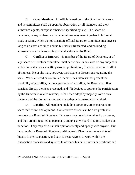**B. Open Meetings.** All official meetings of the Board of Directors and its committees shall be open for observation by all members and their authorized agents, except as otherwise specified by law. The Board of Directors, or any of them, and all committees may meet together in informal study sessions, which do not constitute official Board or committee meetings so long as no votes are taken and no business is transacted, and no binding agreements are made regarding official actions of the Board.

**C. Conflict of Interest.** No member of the Board of Directors, or of any Board of Directors committee, shall participate in any vote on any subject in which he or she has a specific personal, professional, financial, or other conflict of interest. He or she may, however, participate in discussions regarding the same. When a Board or committee member has interests that present the possibility of a conflict, or the appearance of a conflict, the Board shall first consider directly the risks presented, and if it decides to approve the participation by the Director in related matters, it shall then adopt by majority vote a clear statement of the circumstances, and any safeguards reasonably required.

**D. Loyalty.** All members, including Directors, are encouraged to share their views and opinions. Constructive dissent can be a very valuable resource to a Board of Directors. Directors may vote in the minority on issues, and they are not required to personally endorse any Board of Directors decision or action. They may discuss their opinions freely and openly with anyone. But by accepting a Board of Directors position, each Director assumes a duty of loyalty to the Association, and each Director agrees to work within the Association processes and systems to advance his or her views or positions; and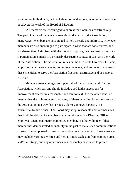not to either individually, or in collaboration with others, intentionally sabotage or subvert the work of the Board of Directors.

All members are encouraged to express their opinions constructively. The participation of members is essential to the work of the Association, in many ways. Members are encouraged to help directly and indirectly. However, members are also encouraged to participate in ways that are constructive, and not destructive. Criticism, with the intent to improve, can be constructive. But if participation is made in a primarily destructive context, it can harm the work of the Association. The Association relies on the help of its Directors, Officers, employees, contractors, agents, committee members, and volunteers, and each of these is entitled to serve the Association free from destructive and/or personal criticism.

Members are encouraged to support all of these in their work for the Association, which can and should include good faith suggestions for improvement offered in a reasonable and fair context. On the other hand, no member has the right to interact with any of these regarding his or her service to the Association in a way that seriously alarms, annoys, harasses, or is detrimental to him or her. The Board may adopt reasonable and fair measures that limit the ability of a member to communicate with a Director, Officer, employee, agent, contractor, committee member, or other volunteer if that member has demonstrated an inability in the past to make such communications constructive as opposed to destructive and/or personal attacks. These measures may include warnings, written and verbal; fines; exclusion from common areas and/or meetings; and any other measures reasonably calculated to protect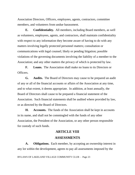Association Directors, Officers, employees, agents, contractors, committee members, and volunteers from undue harassment.

**E. Confidentiality.** All members, including Board members, as well as volunteers, employees, agents, and contractors, shall maintain confidentiality with respect to any information they become aware of having to do with any matters involving legally protected personnel matters; consultation or communications with legal counsel; likely or pending litigation; possible violations of the governing documents involving the liability of a member to the Association; and any other matters the privacy of which is protected by law.

**F. Loans.** The Association shall make no loans to its Directors or Officers.

**G. Audits.** The Board of Directors may cause to be prepared an audit of any or all of the financial accounts or affairs of the Association at any time, and to what extent, it deems appropriate. In addition, at least annually, the Board of Directors shall cause to be prepared a financial statement of the Association. Such financial statements shall be audited where provided by law, or as directed by the Board of Directors.

**H. Accounts.** The funds of the Association shall be kept in accounts in its name, and shall not be commingled with the funds of any other Association, the President of the Association, or any other person responsible for custody of such funds.

# **ARTICLE VIII ASSESSMENTS**

**A. Obligations.** Each member, by accepting an ownership interest in any lot within the development, agrees to pay all assessments imposed by the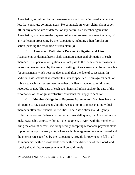Association, as defined below. Assessments shall not be imposed against the lots that constitute common areas. No counterclaim, cross-claim, claim of setoff, or any other claim or defense, of any nature, by a member against the Association, shall excuse the payment of any assessment, or cause the delay of any collection proceeding by the Association, including a lien foreclosure action, pending the resolution of such claim(s).

#### **B. Assessment Definition - Personal Obligation and Lien.**

Assessments as defined herein shall constitute a personal obligation of each member. This personal obligation shall not pass to the member's successors in interest unless assumed by the same in writing. A successor shall be responsible for assessments which become due on and after the date of succession. In addition, assessments shall constitute a lien as specified herein against each lot subject to each such assessment, whether this lien is reduced to writing and recorded, or not. The date of each such lien shall relate back to the date of the recordation of the original restrictive covenants that apply to each lot.

**C. Member Obligations, Payment Agreements.** Members have the obligation to pay assessments, but the Association recognizes that individual members often face financial difficulties. The Association shall diligently collect all accounts. When an account becomes delinquent, the Association shall make reasonable efforts, within its sole judgment, to work with the member to bring the account current, including readily accepting reasonable payment plans, supported by a promissory note, where such plans agree to the amount owed and the interest rate specified by the Association, provide for payment in full of all delinquencies within a reasonable time within the discretion of the Board, and specify that all future assessments will be paid timely.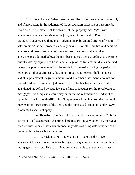**D. Foreclosure.** When reasonable collection efforts are not successful, and if appropriate in the judgment of the Association, assessment liens may be foreclosed, in the manner of foreclosure of real property mortgages, with adaptations where appropriate in the judgment of the Board of Directors; provided, that a revised deficiency judgment may be entered after confirmation of sale, crediting the sale proceeds, and any payments or other credits, and debiting any post-judgment assessments, costs and attorney fees, and any other assessments as defined below; the member may stay the proceedings at any time, prior to sale, by payment to LakeLand Village of the full amount due, as defined below; the purchaser at sale shall be entitled to possession during the period of redemption, if any; after sale, the amount required to redeem shall include any and all supplemental judgment amounts and any other assessment amounts not yet reduced to supplemental judgment; and if a lot has been improved and abandoned, as defined by state law specifying procedures for the foreclosure of mortgages, upon request, a court may order that no redemption period applies upon lien foreclosure Sheriff's sale. Nonpayment of the lien provided for herein may result in foreclosure of the lien, and the homestead protection under RCW chapter 6.13 shall not apply.

**E. Lien Priority.** The lien of LakeLand Village Community Club for payment of all assessments as defined herein is prior to any other lien, mortgage, deed of trust, or any other encumbrance, regardless of filing date of notice of the same, with the following exceptions:

**1. Divisions 1-7:** In Divisions 1-7, LakeLand Village assessment liens are subordinate to the rights of any contract seller or purchase mortgagee as to a lot. This subordination only extends to the extent proceeds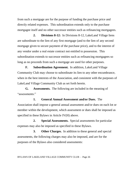from such a mortgage are for the purpose of funding the purchase price and directly related expenses. This subordination extends only to the purchase mortgagee itself and no other successor entities such as refinancing mortgagees.

**2. Divisions 8-12:** In Divisions 8-12, LakeLand Village liens are subordinate to the lien of any first mortgage (and to the lien of any second mortgage given to secure payment of the purchase price), and to the interest of any vendor under a real estate contract not entitled to possession. This subordination extends to successor entities such as refinancing mortgagees so long as no proceeds from such a mortgage are used for other purposes.

**F. Subordination Agreement.** In addition, LakeLand Village Community Club may choose to subordinate its lien to any other encumbrance, when in the best interests of the Association, and consistent with the purposes of LakeLand Village Community Club as set forth herein.

**G. Assessments.** The following are included in the meaning of "assessments:"

**1. General Annual Assessment and/or Dues.** The Association shall impose a general annual assessment and/or dues on each lot or member within the development, which assessment or dues shall be imposed as specified in these Bylaws in Article IV(H) above.

**2. Special Assessments.** Special assessments for particular expenses may also be imposed as specified in these Bylaws.

**3. Other Charges.** In addition to these general and special assessments, the following charges may also be imposed, and are for the purposes of the Bylaws also considered assessments: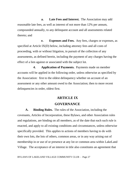**a. Late Fees and Interest.** The Association may add reasonable late fees, as well as interest of not more than 12% per annum, compounded annually, to any delinquent account and all assessments related thereto; and

**e. Expenses and Fees.** Any fees, charges or expenses, as specified at Article IX(D) below, including attorney fees and all costs of proceeding, with or without litigation, in pursuit of the collection of any assessments, as defined herein, including the payment of any charges having the effect of a lien against or associated with the subject lot.

**4. Application of Payments.** Payments made on member accounts will be applied in the following order, unless otherwise as specified by the Association: first to the oldest delinquency whether on account of an assessment or any other amount owed to the Association; then to more recent delinquencies in order, oldest first.

# **ARTICLE IX GOVERNANCE**

**A. Binding Rules.** The rules of the Association, including the covenants, Articles of Incorporation, these Bylaws, and other Association rules and regulations, are binding on all members, as of the date that each such rule is enacted, and apply to all existing conditions and circumstances, unless otherwise specifically provided. This applies to actions of members having to do with their own lots, the lots of others, common areas, or in any way arising out of membership in or use of or presence at any lot or common area within LakeLand Village. The acceptance of an interest in title also constitutes an agreement that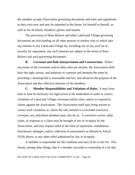the member accepts Association governing documents and rules and regulations as they exist now and may be amended in the future, for himself or herself, as well as for all family members, guests, and tenants.

The provisions of these Bylaws and other LakeLand Village governing documents are also binding on all other persons or entities who or which take any interest in any LakeLand Village lot, including use of any such lot as security for repayment; any such interests are subject to the terms of these Bylaws and such governing documents.

**B. Covenant and Rule Interpretation and Construction.** Where any terms of the covenants and/or other rules are unclear, the Association shall have the right, power, and authority to construe and interpret the same by providing a meaning that is reasonable and fair, and advances the purpose of the Association and the collective interests of the members.

**C. Member Responsibilities and Violations of Rules.** It may from time to time be necessary for legal action to be undertaken in order to correct violations of LakeLand Village covenants and/or rules, and/or to respond to claims against the Association. The Association itself may bring actions to correct such violations or, where the rule violated is a recorded restrictive covenant, any individual members may also do so. A corrective action, other claim, or response to a claim may be brought at law or in equity by the Association, and may request relief in the form of injunction, remediation, foreclosure, damages, and/or collection of assessments as defined at Article IV(H) above, or any other relief authorized by law or in equity.

A member is responsible for the condition and uses of his or her lot. This means, among other things, that if a member succeeds to ownership of a lot that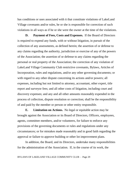has conditions or uses associated with it that constitute violations of LakeLand Village covenants and/or rules, he or she is responsible for correction of such violations in all ways as if he or she were the owner at the time of the violations.

**D. Payment of Fees, Costs and Expenses.** If the Board of Directors is required to expend any funds, with or without litigation, in pursuit of the collection of any assessments, as defined herein; the assertion of or defense to any claims regarding the authority, jurisdiction or exercise of any of the powers of the Association; the assertion of or defense to any claims regarding the personal or real property of the Association; the correction of any violation of LakeLand Village Community Club restrictive covenants, Bylaws, Articles of Incorporation, rules and regulations, and/or any other governing documents; or with regard to any other dispute concerning its actions and/or powers; all expenses, including but not limited to attorney, accountant, other expert, title report and surveyor fees; and all other costs of litigation, including court and discovery expenses; and any and all other amounts reasonably expended in the process of collection, dispute resolution or correction; shall be the responsibility of and paid by the member or person or other entity responsible.

**E. Limitation on Actions.** No legal or equitable action may be brought against the Association or its Board of Directors, Officers, employees, agents, committee members, and/or volunteers, for failure to enforce any provisions of the governing documents or rules and regulations under any circumstances; or for mistakes made reasonably and in good faith regarding the approval or failure to approve building or other lot improvement plans.

In addition, the Board, and its Directors, undertake many responsibilities for the administration of the Association. If, in the course of its work, the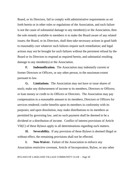Board, or its Directors, fail to comply with administrative requirements as set forth herein or in other rules or regulations of the Association, and such failure is not the cause of substantial damage to any member(s) or the Association, then the sole remedy available to members is to make the Board aware of any related issues; the Board, or its Directors, shall then take necessary actions in good faith to reasonably cure whatever such failures require such remediation; and legal actions may not be brought for such failures without the persistent refusal by the Board or its Directors to respond as required herein, and substantial resulting damage to any member(s) or the Association.

**F. Indemnification.** The Association may indemnify current or former Directors or Officers, or any other person, to the maximum extent pursuant to law.

**G. Limitations**. The Association may not have or issue shares of stock; make any disbursement of income to its members, Directors or Officers; or loan money or credit to its Officers or Directors. The Association may pay compensation in a reasonable amount to its members, Directors or Officers for services rendered; confer benefits upon its members in conformity with its purposes; and upon dissolution, may make distributions to its members as permitted by governing law, and no such payment shall be deemed to be a dividend or a distribution of income. Conflict of interest provisions of Article VII(C) of these Bylaws apply to all determinations regarding such matters.

**H. Severability.** If any provision of these Bylaws is deemed illegal or without effect, the remaining provisions shall not be effected.

**I. Non-Waiver.** Failure of the Association to enforce any Association restrictive covenant, Article of Incorporation, Bylaw, or any other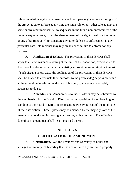rule or regulation against any member shall not operate, (1) to waive the right of the Association to enforce at any time the same rule or any other rule against the same or any other member; (2) to acquiesce in the future non-enforcement of the same or any other rule; (3) as the abandonment of the right to enforce the same or any other rule; or (4) to constitute any other defense to enforcement in any particular case. No member may rely on any such failure to enforce for any purpose.

**J. Application of Bylaws.** The provisions of these Bylaws shall apply to all circumstances existing at the time of their adoption, except when to do so would substantially impair an existing substantive vested right or interest. If such circumstances exist, the application of the provisions of these Bylaws shall be shaped to effectuate their purposes to the greatest degree possible while at the same time interfering with such rights only to the extent reasonably necessary to do so.

**K. Amendments.** Amendments to these Bylaws may be submitted to the membership by the Board of Directors, or by a petition of members in good standing to the Board of Directors representing twenty percent of the total votes of the Association. These Bylaws may be amended by the majority vote of the members in good standing voting at a meeting with a quorum. The effective date of each amendment shall be as specified therein.

# **ARTICLE X CERTIFICATION OF AMENDMENT**

**A. Certification.** We, the President and Secretary of LakeLand Village Community Club, certify that the above stated Bylaws were properly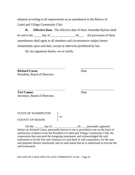adopted according to all requirements as an amendment to the Bylaws of LakeLand Village Community Club.

**B. Effective Date.** The effective date of these Amended Bylaws shall be and is the  $\_\_\_\_$  day of  $\_\_\_\_\_\_\_$ , 20 $\_\_\_\_\.\_$  All provisions of these amendments shall apply to all members and circumstances subject hereto immediately upon said date, except as otherwise prohibited by law.

By our signatures hereto, we so certify.

 \_\_\_\_\_\_\_\_\_\_\_\_\_\_\_\_\_\_\_\_\_ **Richard Caron** Date President, Board of Directors

**Teri Camus** Date Secretary, Board of Directors

STATE OF WASHINGTON ) ss.

COUNTY OF MASON )

On this day of , 20 , personally appeared before me Richard Caron, personally known to me or provided to me on the basis of satisfactory evidence to be the President of LakeLand Village Community Club, the corporation that executed the foregoing instrument, and acknowledged the said instrument to be the free and voluntary act and deed of said corporation, for the uses and purposes therein mentioned, and on oath stated that he is authorized to execute the said instrument.

\_\_\_\_\_\_\_\_\_\_\_\_\_\_\_\_\_\_\_\_\_